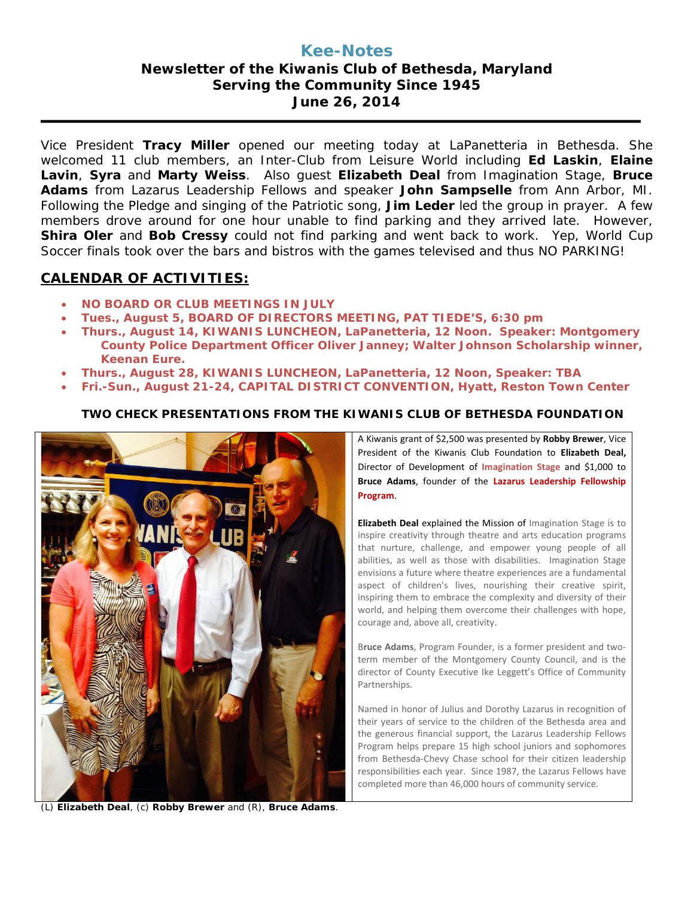# **Kee-Notes Newsletter of the Kiwanis Club of Bethesda, Maryland Serving the Community Since 1945 June 26, 2014**

Vice President **Tracy Miller** opened our meeting today at LaPanetteria in Bethesda. She welcomed 11 club members, an Inter-Club from Leisure World including **Ed Laskin**, **Elaine Lavin**, **Syra** and **Marty Weiss**. Also guest **Elizabeth Deal** from Imagination Stage, **Bruce Adams** from Lazarus Leadership Fellows and speaker **John Sampselle** from Ann Arbor, MI. Following the Pledge and singing of the Patriotic song, **Jim Leder** led the group in prayer. A few members drove around for one hour unable to find parking and they arrived late. However, **Shira Oler** and **Bob Cressy** could not find parking and went back to work. Yep, World Cup Soccer finals took over the bars and bistros with the games televised and thus NO PARKING!

### **CALENDAR OF ACTIVITIES:**

- **NO BOARD OR CLUB MEETINGS IN JULY**
- **Tues., August 5, BOARD OF DIRECTORS MEETING, PAT TIEDE'S, 6:30 pm**
- **Thurs., August 14, KIWANIS LUNCHEON, LaPanetteria, 12 Noon. Speaker: Montgomery County Police Department Officer Oliver Janney; Walter Johnson Scholarship winner, Keenan Eure.**
- **Thurs., August 28, KIWANIS LUNCHEON, LaPanetteria, 12 Noon, Speaker: TBA**
- **Fri.-Sun., August 21-24, CAPITAL DISTRICT CONVENTION, Hyatt, Reston Town Center**

### **TWO CHECK PRESENTATIONS FROM THE KIWANIS CLUB OF BETHESDA FOUNDATION**



(L) **Elizabeth Deal**, (c) **Robby Brewer** and (R), **Bruce Adams**.

A Kiwanis grant of \$2,500 was presented by **Robby Brewer**, Vice President of the Kiwanis Club Foundation to **Elizabeth Deal,**  Director of Development of **Imagination Stage** and \$1,000 to **Bruce Adams**, founder of the **Lazarus Leadership Fellowship Program**.

**Elizabeth Deal** explained the Mission of Imagination Stage is to inspire creativity through theatre and arts education programs that nurture, challenge, and empower young people of all abilities, as well as those with disabilities. Imagination Stage envisions a future where theatre experiences are a fundamental aspect of children's lives, nourishing their creative spirit, inspiring them to embrace the complexity and diversity of their world, and helping them overcome their challenges with hope, courage and, above all, creativity.

B**ruce Adams**, Program Founder, is a former president and twoterm member of the Montgomery County Council, and is the director of County Executive Ike Leggett's Office of Community Partnerships.

Named in honor of Julius and Dorothy Lazarus in recognition of their years of service to the children of the Bethesda area and the generous financial support, the Lazarus Leadership Fellows Program helps prepare 15 high school juniors and sophomores from Bethesda-Chevy Chase school for their citizen leadership responsibilities each year. Since 1987, the Lazarus Fellows have completed more than 46,000 hours of community service.